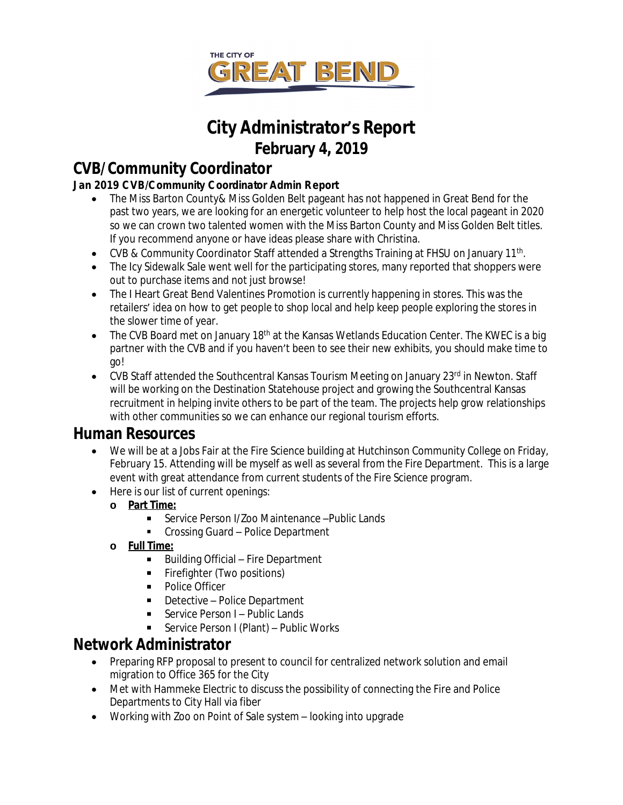

# **City Administrator's Report February 4, 2019**

## **CVB/Community Coordinator**

### **Jan 2019 CVB/Community Coordinator Admin Report**

- The Miss Barton County& Miss Golden Belt pageant has not happened in Great Bend for the past two years, we are looking for an energetic volunteer to help host the local pageant in 2020 so we can crown two talented women with the Miss Barton County and Miss Golden Belt titles. If you recommend anyone or have ideas please share with Christina.
- CVB & Community Coordinator Staff attended a Strengths Training at FHSU on January 11<sup>th</sup>.
- The Icy Sidewalk Sale went well for the participating stores, many reported that shoppers were out to purchase items and not just browse!
- The I Heart Great Bend Valentines Promotion is currently happening in stores. This was the retailers' idea on how to get people to shop local and help keep people exploring the stores in the slower time of year.
- $\bullet$  The CVB Board met on January 18<sup>th</sup> at the Kansas Wetlands Education Center. The KWEC is a big partner with the CVB and if you haven't been to see their new exhibits, you should make time to go!
- $\bullet$  CVB Staff attended the Southcentral Kansas Tourism Meeting on January 23<sup>rd</sup> in Newton. Staff will be working on the Destination Statehouse project and growing the Southcentral Kansas recruitment in helping invite others to be part of the team. The projects help grow relationships with other communities so we can enhance our regional tourism efforts.

### **Human Resources**

- We will be at a Jobs Fair at the Fire Science building at Hutchinson Community College on Friday, February 15. Attending will be myself as well as several from the Fire Department. This is a large event with great attendance from current students of the Fire Science program.
- Here is our list of current openings:
	- **o Part Time:**
		- Service Person I/Zoo Maintenance –Public Lands
		- **Crossing Guard Police Department**
	- **o Full Time:**
		- Building Official Fire Department
		- Firefighter (Two positions)
		- Police Officer
		- Detective Police Department
		- Service Person I Public Lands
		- Service Person I (Plant) Public Works

# **Network Administrator**

- Preparing RFP proposal to present to council for centralized network solution and email migration to Office 365 for the City
- Met with Hammeke Electric to discuss the possibility of connecting the Fire and Police Departments to City Hall via fiber
- Working with Zoo on Point of Sale system looking into upgrade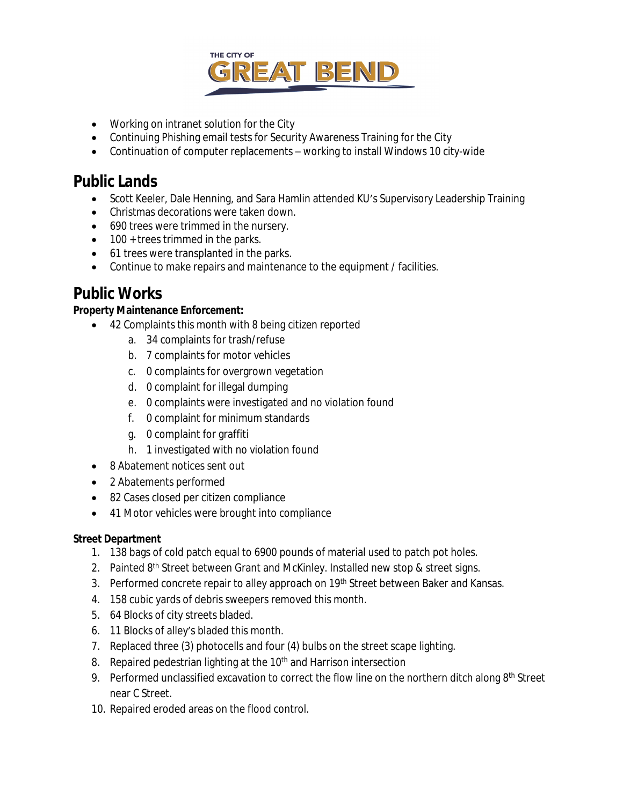

- Working on intranet solution for the City
- Continuing Phishing email tests for Security Awareness Training for the City
- Continuation of computer replacements working to install Windows 10 city-wide

### **Public Lands**

- Scott Keeler, Dale Henning, and Sara Hamlin attended KU's Supervisory Leadership Training
- Christmas decorations were taken down.
- 690 trees were trimmed in the nursery.
- 100 + trees trimmed in the parks.
- 61 trees were transplanted in the parks.
- Continue to make repairs and maintenance to the equipment / facilities.

### **Public Works**

#### **Property Maintenance Enforcement:**

- 42 Complaints this month with 8 being citizen reported
	- a. 34 complaints for trash/refuse
	- b. 7 complaints for motor vehicles
	- c. 0 complaints for overgrown vegetation
	- d. 0 complaint for illegal dumping
	- e. 0 complaints were investigated and no violation found
	- f. 0 complaint for minimum standards
	- g. 0 complaint for graffiti
	- h. 1 investigated with no violation found
- 8 Abatement notices sent out
- 2 Abatements performed
- 82 Cases closed per citizen compliance
- 41 Motor vehicles were brought into compliance

#### **Street Department**

- 1. 138 bags of cold patch equal to 6900 pounds of material used to patch pot holes.
- 2. Painted 8<sup>th</sup> Street between Grant and McKinley. Installed new stop & street signs.
- 3. Performed concrete repair to alley approach on 19<sup>th</sup> Street between Baker and Kansas.
- 4. 158 cubic yards of debris sweepers removed this month.
- 5. 64 Blocks of city streets bladed.
- 6. 11 Blocks of alley's bladed this month.
- 7. Replaced three (3) photocells and four (4) bulbs on the street scape lighting.
- 8. Repaired pedestrian lighting at the 10<sup>th</sup> and Harrison intersection
- 9. Performed unclassified excavation to correct the flow line on the northern ditch along 8<sup>th</sup> Street near C Street.
- 10. Repaired eroded areas on the flood control.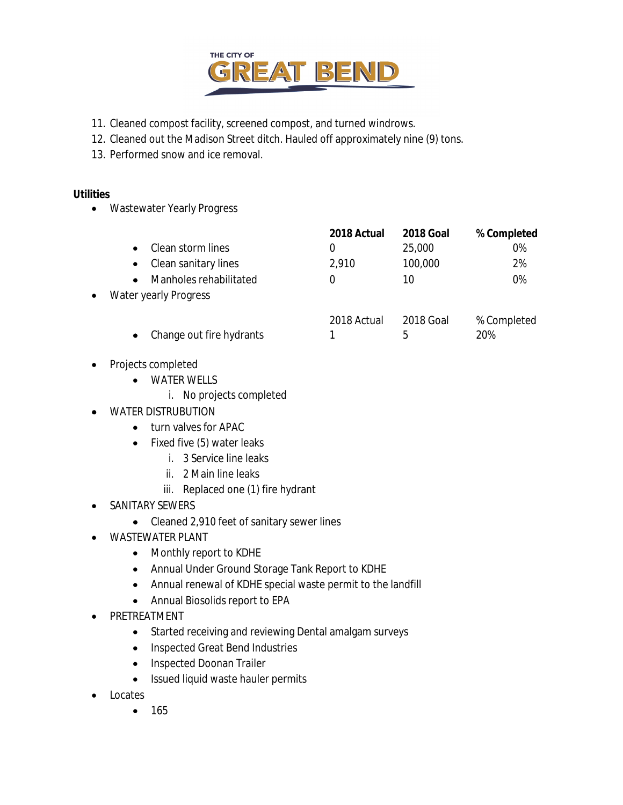

- 11. Cleaned compost facility, screened compost, and turned windrows.
- 12. Cleaned out the Madison Street ditch. Hauled off approximately nine (9) tons.
- 13. Performed snow and ice removal.

#### **Utilities**

Wastewater Yearly Progress

|           |                                   | 2018 Actual | <b>2018 Goal</b> | % Completed |
|-----------|-----------------------------------|-------------|------------------|-------------|
|           | Clean storm lines                 |             | 25,000           | 0%          |
|           | Clean sanitary lines<br>$\bullet$ | 2,910       | 100,000          | 2%          |
|           | Manholes rehabilitated            |             | 10               | 0%          |
| $\bullet$ | Water yearly Progress             |             |                  |             |
|           |                                   | 2018 Actual | 2018 Goal        | % Completed |

- Change out fire hydrants 1 5 30%
- Projects completed
	- WATER WELLS
		- i. No projects completed
- WATER DISTRUBUTION
	- turn valves for APAC
	- Fixed five (5) water leaks
		- i. 3 Service line leaks
		- ii. 2 Main line leaks
		- iii. Replaced one (1) fire hydrant
- SANITARY SEWERS
	- Cleaned 2,910 feet of sanitary sewer lines
- WASTEWATER PLANT
	- Monthly report to KDHE
	- Annual Under Ground Storage Tank Report to KDHE
	- Annual renewal of KDHE special waste permit to the landfill
	- Annual Biosolids report to EPA
- PRETREATMENT
	- Started receiving and reviewing Dental amalgam surveys
	- Inspected Great Bend Industries
	- Inspected Doonan Trailer
	- Issued liquid waste hauler permits
- Locates
	- $165$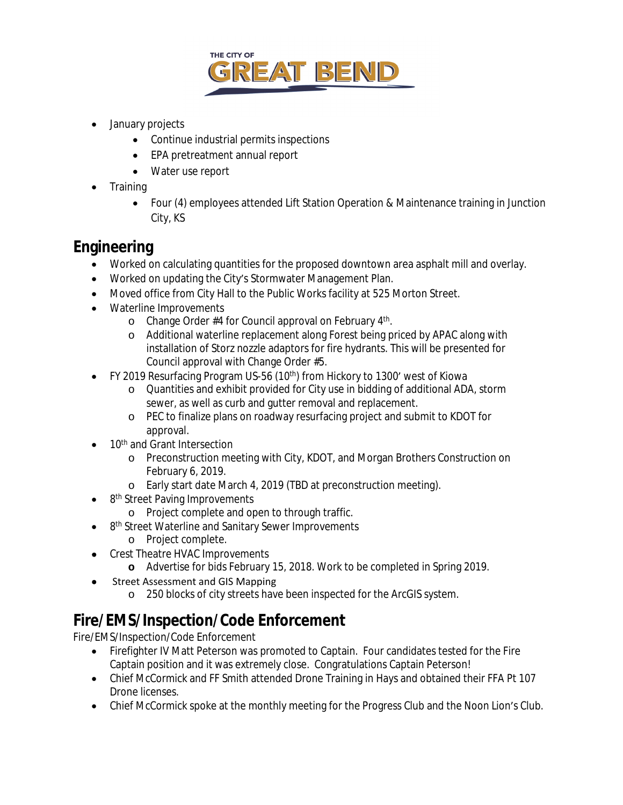

- January projects
	- Continue industrial permits inspections
	- EPA pretreatment annual report
	- Water use report
- Training
	- Four (4) employees attended Lift Station Operation & Maintenance training in Junction City, KS

### **Engineering**

- Worked on calculating quantities for the proposed downtown area asphalt mill and overlay.
- Worked on updating the City's Stormwater Management Plan.
- Moved office from City Hall to the Public Works facility at 525 Morton Street.
- Waterline Improvements
	- o Change Order #4 for Council approval on February 4<sup>th</sup>.
	- o Additional waterline replacement along Forest being priced by APAC along with installation of Storz nozzle adaptors for fire hydrants. This will be presented for Council approval with Change Order #5.
- FY 2019 Resurfacing Program US-56 (10<sup>th</sup>) from Hickory to 1300' west of Kiowa
	- o Quantities and exhibit provided for City use in bidding of additional ADA, storm sewer, as well as curb and gutter removal and replacement.
	- o PEC to finalize plans on roadway resurfacing project and submit to KDOT for approval.
- 10<sup>th</sup> and Grant Intersection
	- o Preconstruction meeting with City, KDOT, and Morgan Brothers Construction on February 6, 2019.
	- o Early start date March 4, 2019 (TBD at preconstruction meeting).
- 8<sup>th</sup> Street Paving Improvements
	- o Project complete and open to through traffic.
- 8<sup>th</sup> Street Waterline and Sanitary Sewer Improvements
	- o Project complete.
- Crest Theatre HVAC Improvements
	- **o** Advertise for bids February 15, 2018. Work to be completed in Spring 2019.
- Street Assessment and GIS Mapping
	- o 250 blocks of city streets have been inspected for the ArcGIS system.

# **Fire/EMS/Inspection/Code Enforcement**

Fire/EMS/Inspection/Code Enforcement

- Firefighter IV Matt Peterson was promoted to Captain. Four candidates tested for the Fire Captain position and it was extremely close. Congratulations Captain Peterson!
- Chief McCormick and FF Smith attended Drone Training in Hays and obtained their FFA Pt 107 Drone licenses.
- Chief McCormick spoke at the monthly meeting for the Progress Club and the Noon Lion's Club.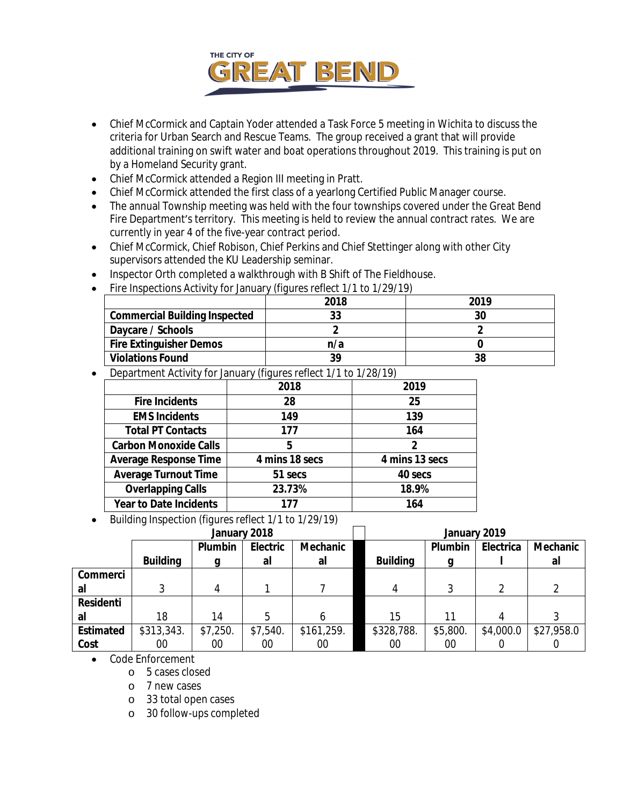

- Chief McCormick and Captain Yoder attended a Task Force 5 meeting in Wichita to discuss the criteria for Urban Search and Rescue Teams. The group received a grant that will provide additional training on swift water and boat operations throughout 2019. This training is put on by a Homeland Security grant.
- Chief McCormick attended a Region III meeting in Pratt.
- Chief McCormick attended the first class of a yearlong Certified Public Manager course.
- The annual Township meeting was held with the four townships covered under the Great Bend Fire Department's territory. This meeting is held to review the annual contract rates. We are currently in year 4 of the five-year contract period.
- Chief McCormick, Chief Robison, Chief Perkins and Chief Stettinger along with other City supervisors attended the KU Leadership seminar.
- Inspector Orth completed a walkthrough with B Shift of The Fieldhouse.
- Fire Inspections Activity for January *(figures reflect 1/1 to 1/29/19)*

|                                      | 2018 | 2019 |  |
|--------------------------------------|------|------|--|
| <b>Commercial Building Inspected</b> | 33   | 30   |  |
| Daycare / Schools                    |      |      |  |
| <b>Fire Extinguisher Demos</b>       | n/a  |      |  |
| <b>Violations Found</b>              | 39   | 38   |  |

Department Activity for January *(figures reflect 1/1 to 1/28/19)*

|                               | 2018           | 2019           |  |  |  |
|-------------------------------|----------------|----------------|--|--|--|
| <b>Fire Incidents</b>         | 28             | 25             |  |  |  |
| <b>EMS Incidents</b>          | 149            | 139            |  |  |  |
| <b>Total PT Contacts</b>      | 177            | 164            |  |  |  |
| <b>Carbon Monoxide Calls</b>  | 5              | 2              |  |  |  |
| <b>Average Response Time</b>  | 4 mins 18 secs | 4 mins 13 secs |  |  |  |
| <b>Average Turnout Time</b>   | 51 secs        | 40 secs        |  |  |  |
| <b>Overlapping Calls</b>      | 23.73%         | 18.9%          |  |  |  |
| <b>Year to Date Incidents</b> | 177            | 164            |  |  |  |

Building Inspection *(figures reflect 1/1 to 1/29/19)*

| January 2018     |                 |          | January 2019 |            |                 |          |           |            |
|------------------|-----------------|----------|--------------|------------|-----------------|----------|-----------|------------|
|                  |                 | Plumbin  | Electric     | Mechanic   |                 | Plumbin  | Electrica | Mechanic   |
|                  | <b>Building</b> |          | al           | al         | <b>Building</b> | a        |           | al         |
| Commerci         |                 |          |              |            |                 |          |           |            |
| al               |                 | 4        |              |            | 4               |          |           |            |
| <b>Residenti</b> |                 |          |              |            |                 |          |           |            |
| al               | 18              | 14       | 5            |            | 15              | 11       |           |            |
| <b>Estimated</b> | \$313,343.      | \$7,250. | \$7,540.     | \$161,259. | \$328,788.      | \$5,800. | \$4,000.0 | \$27,958.0 |
| Cost             | 00              | 00       | 00           | 00         | 00              | 00       |           |            |

- Code Enforcement
	- o 5 cases closed
	- o 7 new cases
	- o 33 total open cases
	- o 30 follow-ups completed